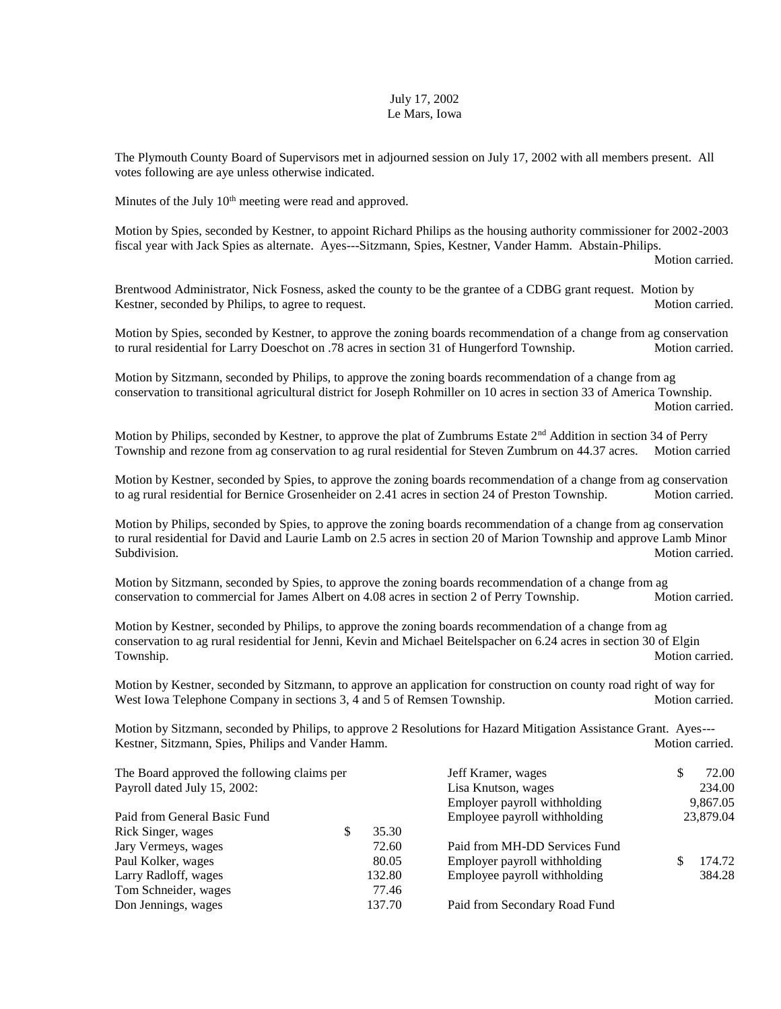## July 17, 2002 Le Mars, Iowa

The Plymouth County Board of Supervisors met in adjourned session on July 17, 2002 with all members present. All votes following are aye unless otherwise indicated.

Minutes of the July  $10<sup>th</sup>$  meeting were read and approved.

Motion by Spies, seconded by Kestner, to appoint Richard Philips as the housing authority commissioner for 2002-2003 fiscal year with Jack Spies as alternate. Ayes---Sitzmann, Spies, Kestner, Vander Hamm. Abstain-Philips.

Motion carried.

Brentwood Administrator, Nick Fosness, asked the county to be the grantee of a CDBG grant request. Motion by Kestner, seconded by Philips, to agree to request. Motion carried. Motion carried.

Motion by Spies, seconded by Kestner, to approve the zoning boards recommendation of a change from ag conservation to rural residential for Larry Doeschot on .78 acres in section 31 of Hungerford Township. Motion carried.

Motion by Sitzmann, seconded by Philips, to approve the zoning boards recommendation of a change from ag conservation to transitional agricultural district for Joseph Rohmiller on 10 acres in section 33 of America Township. Motion carried.

Motion by Philips, seconded by Kestner, to approve the plat of Zumbrums Estate 2<sup>nd</sup> Addition in section 34 of Perry Township and rezone from ag conservation to ag rural residential for Steven Zumbrum on 44.37 acres. Motion carried

Motion by Kestner, seconded by Spies, to approve the zoning boards recommendation of a change from ag conservation to ag rural residential for Bernice Grosenheider on 2.41 acres in section 24 of Preston Township. Motion carried.

Motion by Philips, seconded by Spies, to approve the zoning boards recommendation of a change from ag conservation to rural residential for David and Laurie Lamb on 2.5 acres in section 20 of Marion Township and approve Lamb Minor Subdivision. Motion carried. Motion carried.

Motion by Sitzmann, seconded by Spies, to approve the zoning boards recommendation of a change from ag conservation to commercial for James Albert on 4.08 acres in section 2 of Perry Township. Motion carried.

Motion by Kestner, seconded by Philips, to approve the zoning boards recommendation of a change from ag conservation to ag rural residential for Jenni, Kevin and Michael Beitelspacher on 6.24 acres in section 30 of Elgin Township. Motion carried.

Motion by Kestner, seconded by Sitzmann, to approve an application for construction on county road right of way for West Iowa Telephone Company in sections 3, 4 and 5 of Remsen Township. Motion carried.

Motion by Sitzmann, seconded by Philips, to approve 2 Resolutions for Hazard Mitigation Assistance Grant. Ayes--- Kestner, Sitzmann, Spies, Philips and Vander Hamm. Motion carried. Motion carried.

| The Board approved the following claims per |        | Jeff Kramer, wages            | S | 72.00     |
|---------------------------------------------|--------|-------------------------------|---|-----------|
| Payroll dated July 15, 2002:                |        | Lisa Knutson, wages           |   | 234.00    |
|                                             |        | Employer payroll withholding  |   | 9,867.05  |
| Paid from General Basic Fund                |        | Employee payroll withholding  |   | 23,879.04 |
| Rick Singer, wages<br>S                     | 35.30  |                               |   |           |
| Jary Vermeys, wages                         | 72.60  | Paid from MH-DD Services Fund |   |           |
| Paul Kolker, wages                          | 80.05  | Employer payroll withholding  |   | 174.72    |
| Larry Radloff, wages                        | 132.80 | Employee payroll withholding  |   | 384.28    |
| Tom Schneider, wages                        | 77.46  |                               |   |           |
| Don Jennings, wages                         | 137.70 | Paid from Secondary Road Fund |   |           |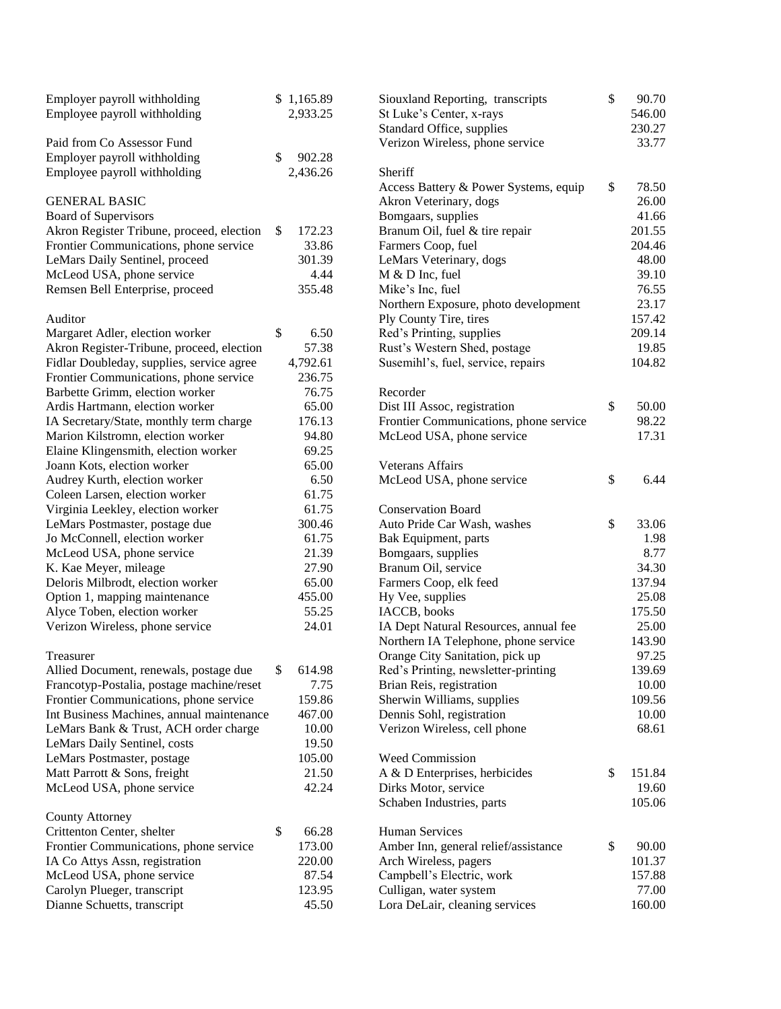| Employer payroll withholding<br>Employee payroll withholding |              | \$1,165.89<br>2,933.25 | Siouxland Reporting, transcripts<br>St Luke's Center, x-rays | \$<br>90.70<br>546.00 |
|--------------------------------------------------------------|--------------|------------------------|--------------------------------------------------------------|-----------------------|
|                                                              |              |                        | Standard Office, supplies                                    | 230.27                |
| Paid from Co Assessor Fund                                   |              |                        | Verizon Wireless, phone service                              | 33.77                 |
| Employer payroll withholding                                 | $\mathbb{S}$ | 902.28                 |                                                              |                       |
| Employee payroll withholding                                 |              | 2,436.26               | Sheriff                                                      |                       |
|                                                              |              |                        | Access Battery & Power Systems, equip                        | \$<br>78.50           |
| <b>GENERAL BASIC</b>                                         |              |                        | Akron Veterinary, dogs                                       | 26.00                 |
| <b>Board of Supervisors</b>                                  |              |                        | Bomgaars, supplies                                           | 41.66                 |
| Akron Register Tribune, proceed, election                    | \$           | 172.23                 | Branum Oil, fuel & tire repair                               | 201.55                |
| Frontier Communications, phone service                       |              | 33.86                  | Farmers Coop, fuel                                           | 204.46                |
| LeMars Daily Sentinel, proceed                               |              | 301.39                 | LeMars Veterinary, dogs                                      | 48.00                 |
| McLeod USA, phone service                                    |              | 4.44                   | M & D Inc, fuel                                              | 39.10                 |
| Remsen Bell Enterprise, proceed                              |              | 355.48                 | Mike's Inc, fuel                                             | 76.55                 |
|                                                              |              |                        | Northern Exposure, photo development                         | 23.17                 |
| Auditor                                                      |              |                        | Ply County Tire, tires                                       | 157.42                |
| Margaret Adler, election worker                              | \$           | 6.50                   | Red's Printing, supplies                                     | 209.14                |
| Akron Register-Tribune, proceed, election                    |              | 57.38                  | Rust's Western Shed, postage                                 | 19.85                 |
| Fidlar Doubleday, supplies, service agree                    |              | 4,792.61               | Susemihl's, fuel, service, repairs                           | 104.82                |
| Frontier Communications, phone service                       |              | 236.75                 |                                                              |                       |
| Barbette Grimm, election worker                              |              | 76.75                  | Recorder                                                     |                       |
| Ardis Hartmann, election worker                              |              | 65.00                  | Dist III Assoc, registration                                 | \$<br>50.00           |
| IA Secretary/State, monthly term charge                      |              | 176.13                 | Frontier Communications, phone service                       | 98.22                 |
| Marion Kilstromn, election worker                            |              | 94.80                  | McLeod USA, phone service                                    | 17.31                 |
| Elaine Klingensmith, election worker                         |              | 69.25                  |                                                              |                       |
| Joann Kots, election worker                                  |              | 65.00                  | Veterans Affairs                                             |                       |
| Audrey Kurth, election worker                                |              | 6.50                   | McLeod USA, phone service                                    | \$<br>6.44            |
| Coleen Larsen, election worker                               |              | 61.75                  |                                                              |                       |
| Virginia Leekley, election worker                            |              | 61.75                  | <b>Conservation Board</b>                                    |                       |
| LeMars Postmaster, postage due                               |              | 300.46                 | Auto Pride Car Wash, washes                                  | \$<br>33.06           |
| Jo McConnell, election worker                                |              | 61.75                  | Bak Equipment, parts                                         | 1.98                  |
| McLeod USA, phone service                                    |              | 21.39                  | Bomgaars, supplies                                           | 8.77                  |
| K. Kae Meyer, mileage                                        |              | 27.90                  | Branum Oil, service                                          | 34.30                 |
| Deloris Milbrodt, election worker                            |              | 65.00                  | Farmers Coop, elk feed                                       | 137.94                |
| Option 1, mapping maintenance                                |              | 455.00                 | Hy Vee, supplies                                             | 25.08                 |
| Alyce Toben, election worker                                 |              | 55.25                  | IACCB, books                                                 | 175.50                |
| Verizon Wireless, phone service                              |              | 24.01                  | IA Dept Natural Resources, annual fee                        | 25.00                 |
|                                                              |              |                        | Northern IA Telephone, phone service                         | 143.90                |
| Treasurer                                                    |              |                        | Orange City Sanitation, pick up                              | 97.25                 |
| Allied Document, renewals, postage due                       | \$           | 614.98                 | Red's Printing, newsletter-printing                          | 139.69                |
| Francotyp-Postalia, postage machine/reset                    |              | 7.75                   | Brian Reis, registration                                     | 10.00                 |
| Frontier Communications, phone service                       |              | 159.86                 | Sherwin Williams, supplies                                   | 109.56                |
| Int Business Machines, annual maintenance                    |              | 467.00                 | Dennis Sohl, registration                                    | 10.00                 |
| LeMars Bank & Trust, ACH order charge                        |              | 10.00                  | Verizon Wireless, cell phone                                 | 68.61                 |
| LeMars Daily Sentinel, costs                                 |              | 19.50                  |                                                              |                       |
| LeMars Postmaster, postage<br>Matt Parrott & Sons, freight   |              | 105.00<br>21.50        | Weed Commission                                              | \$<br>151.84          |
|                                                              |              | 42.24                  | A & D Enterprises, herbicides<br>Dirks Motor, service        | 19.60                 |
| McLeod USA, phone service                                    |              |                        | Schaben Industries, parts                                    | 105.06                |
| <b>County Attorney</b>                                       |              |                        |                                                              |                       |
| Crittenton Center, shelter                                   | \$           | 66.28                  | <b>Human Services</b>                                        |                       |
| Frontier Communications, phone service                       |              | 173.00                 | Amber Inn, general relief/assistance                         | \$<br>90.00           |
| IA Co Attys Assn, registration                               |              | 220.00                 | Arch Wireless, pagers                                        | 101.37                |
| McLeod USA, phone service                                    |              | 87.54                  | Campbell's Electric, work                                    | 157.88                |
| Carolyn Plueger, transcript                                  |              | 123.95                 | Culligan, water system                                       | 77.00                 |
| Dianne Schuetts, transcript                                  |              | 45.50                  | Lora DeLair, cleaning services                               | 160.00                |
|                                                              |              |                        |                                                              |                       |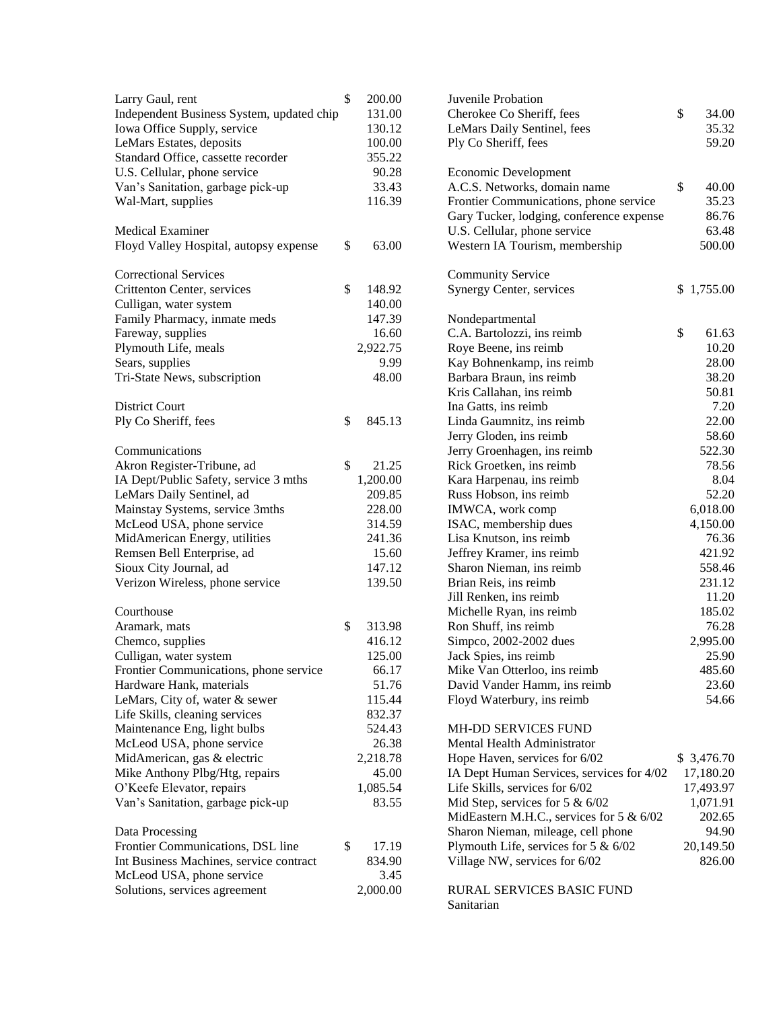| Larry Gaul, rent<br>Independent Business System, updated chip<br>Iowa Office Supply, service<br>LeMars Estates, deposits<br>Standard Office, cassette recorder<br>U.S. Cellular, phone service<br>Van's Sanitation, garbage pick-up<br>Wal-Mart, supplies                                                                                                                                                           | \$<br>200.00<br>131.00<br>130.12<br>100.00<br>355.22<br>90.28<br>33.43<br>116.39                                                    |
|---------------------------------------------------------------------------------------------------------------------------------------------------------------------------------------------------------------------------------------------------------------------------------------------------------------------------------------------------------------------------------------------------------------------|-------------------------------------------------------------------------------------------------------------------------------------|
| <b>Medical Examiner</b><br>Floyd Valley Hospital, autopsy expense                                                                                                                                                                                                                                                                                                                                                   | \$<br>63.00                                                                                                                         |
| <b>Correctional Services</b><br>Crittenton Center, services<br>Culligan, water system<br>Family Pharmacy, inmate meds<br>Fareway, supplies<br>Plymouth Life, meals<br>Sears, supplies<br>Tri-State News, subscription                                                                                                                                                                                               | \$<br>148.92<br>140.00<br>147.39<br>16.60<br>2,922.75<br>9.99<br>48.00                                                              |
| <b>District Court</b><br>Ply Co Sheriff, fees                                                                                                                                                                                                                                                                                                                                                                       | \$<br>845.13                                                                                                                        |
| Communications<br>Akron Register-Tribune, ad<br>IA Dept/Public Safety, service 3 mths<br>LeMars Daily Sentinel, ad<br>Mainstay Systems, service 3mths<br>McLeod USA, phone service<br>MidAmerican Energy, utilities<br>Remsen Bell Enterprise, ad<br>Sioux City Journal, ad<br>Verizon Wireless, phone service                                                                                                      | \$<br>21.25<br>1,200.00<br>209.85<br>228.00<br>314.59<br>241.36<br>15.60<br>147.12<br>139.50                                        |
| Courthouse<br>Aramark, mats<br>Chemco, supplies<br>Culligan, water system<br>Frontier Communications, phone service<br>Hardware Hank, materials<br>LeMars, City of, water & sewer<br>Life Skills, cleaning services<br>Maintenance Eng, light bulbs<br>McLeod USA, phone service<br>MidAmerican, gas & electric<br>Mike Anthony Plbg/Htg, repairs<br>O'Keefe Elevator, repairs<br>Van's Sanitation, garbage pick-up | \$<br>313.98<br>416.12<br>125.00<br>66.17<br>51.76<br>115.44<br>832.37<br>524.43<br>26.38<br>2,218.78<br>45.00<br>1,085.54<br>83.55 |
| Data Processing<br>Frontier Communications, DSL line<br>Int Business Machines, service contract<br>McLeod USA, phone service<br>Solutions, services agreement                                                                                                                                                                                                                                                       | \$<br>17.19<br>834.90<br>3.45<br>2,000.00                                                                                           |

| Juvenile Probation                        |             |
|-------------------------------------------|-------------|
| Cherokee Co Sheriff, fees                 | \$<br>34.00 |
| LeMars Daily Sentinel, fees               | 35.32       |
| Ply Co Sheriff, fees                      | 59.20       |
|                                           |             |
| Economic Development                      |             |
| A.C.S. Networks, domain name              | \$<br>40.00 |
| Frontier Communications, phone service    | 35.23       |
| Gary Tucker, lodging, conference expense  | 86.76       |
| U.S. Cellular, phone service              | 63.48       |
| Western IA Tourism, membership            | 500.00      |
|                                           |             |
| <b>Community Service</b>                  |             |
| Synergy Center, services                  | \$1,755.00  |
|                                           |             |
| Nondepartmental                           |             |
| C.A. Bartolozzi, ins reimb                | \$<br>61.63 |
| Roye Beene, ins reimb                     | 10.20       |
| Kay Bohnenkamp, ins reimb                 | 28.00       |
| Barbara Braun, ins reimb                  | 38.20       |
| Kris Callahan, ins reimb                  | 50.81       |
| Ina Gatts, ins reimb                      | 7.20        |
| Linda Gaumnitz, ins reimb                 | 22.00       |
| Jerry Gloden, ins reimb                   | 58.60       |
| Jerry Groenhagen, ins reimb               | 522.30      |
| Rick Groetken, ins reimb                  | 78.56       |
| Kara Harpenau, ins reimb                  | 8.04        |
| Russ Hobson, ins reimb                    | 52.20       |
| IMWCA, work comp                          | 6,018.00    |
| ISAC, membership dues                     | 4,150.00    |
| Lisa Knutson, ins reimb                   | 76.36       |
| Jeffrey Kramer, ins reimb                 | 421.92      |
| Sharon Nieman, ins reimb                  | 558.46      |
| Brian Reis, ins reimb                     | 231.12      |
| Jill Renken, ins reimb                    | 11.20       |
| Michelle Ryan, ins reimb                  | 185.02      |
| Ron Shuff, ins reimb                      | 76.28       |
| Simpco, 2002-2002 dues                    | 2,995.00    |
| Jack Spies, ins reimb                     | 25.90       |
| Mike Van Otterloo, ins reimb              | 485.60      |
| David Vander Hamm, ins reimb              | 23.60       |
| Floyd Waterbury, ins reimb                | 54.66       |
|                                           |             |
| <b>MH-DD SERVICES FUND</b>                |             |
| Mental Health Administrator               |             |
| Hope Haven, services for 6/02             | \$ 3,476.70 |
| IA Dept Human Services, services for 4/02 | 17,180.20   |
| Life Skills, services for 6/02            | 17,493.97   |
| Mid Step, services for 5 $& 6/02$         | 1,071.91    |
| MidEastern M.H.C., services for 5 & 6/02  | 202.65      |
| Sharon Nieman, mileage, cell phone        | 94.90       |
| Plymouth Life, services for $5 & 6/02$    | 20,149.50   |
| Village NW, services for 6/02             | 826.00      |
|                                           |             |
| RURAL SERVICES BASIC FUND                 |             |
| Sanitarian                                |             |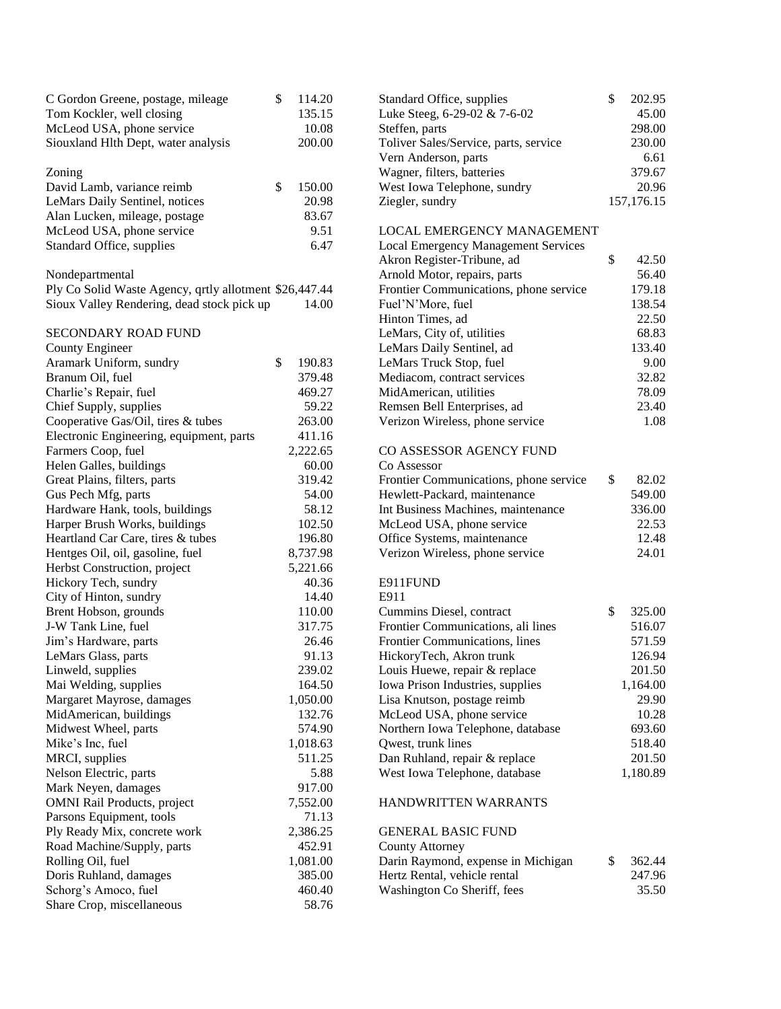| C Gordon Greene, postage, mileage                      | \$<br>114.20 | Standard Office, supplies                  | \$<br>202.95 |
|--------------------------------------------------------|--------------|--------------------------------------------|--------------|
| Tom Kockler, well closing                              | 135.15       | Luke Steeg, 6-29-02 & 7-6-02               | 45.00        |
| McLeod USA, phone service                              | 10.08        | Steffen, parts                             | 298.00       |
| Siouxland Hlth Dept, water analysis                    | 200.00       | Toliver Sales/Service, parts, service      | 230.00       |
|                                                        |              | Vern Anderson, parts                       | 6.61         |
| Zoning                                                 |              | Wagner, filters, batteries                 | 379.67       |
| David Lamb, variance reimb                             | \$<br>150.00 | West Iowa Telephone, sundry                | 20.96        |
| LeMars Daily Sentinel, notices                         | 20.98        | Ziegler, sundry                            | 157,176.15   |
| Alan Lucken, mileage, postage                          | 83.67        |                                            |              |
| McLeod USA, phone service                              | 9.51         | <b>LOCAL EMERGENCY MANAGEMENT</b>          |              |
| Standard Office, supplies                              | 6.47         | <b>Local Emergency Management Services</b> |              |
|                                                        |              | Akron Register-Tribune, ad                 | \$<br>42.50  |
| Nondepartmental                                        |              | Arnold Motor, repairs, parts               | 56.40        |
| Ply Co Solid Waste Agency, qrtly allotment \$26,447.44 |              | Frontier Communications, phone service     | 179.18       |
| Sioux Valley Rendering, dead stock pick up             | 14.00        | Fuel'N'More, fuel                          | 138.54       |
|                                                        |              | Hinton Times, ad                           | 22.50        |
| SECONDARY ROAD FUND                                    |              | LeMars, City of, utilities                 | 68.83        |
| County Engineer                                        |              | LeMars Daily Sentinel, ad                  | 133.40       |
| Aramark Uniform, sundry                                | \$<br>190.83 | LeMars Truck Stop, fuel                    | 9.00         |
| Branum Oil, fuel                                       | 379.48       | Mediacom, contract services                | 32.82        |
| Charlie's Repair, fuel                                 | 469.27       | MidAmerican, utilities                     | 78.09        |
| Chief Supply, supplies                                 | 59.22        | Remsen Bell Enterprises, ad                | 23.40        |
| Cooperative Gas/Oil, tires & tubes                     | 263.00       | Verizon Wireless, phone service            | 1.08         |
| Electronic Engineering, equipment, parts               | 411.16       |                                            |              |
| Farmers Coop, fuel                                     | 2,222.65     | CO ASSESSOR AGENCY FUND                    |              |
| Helen Galles, buildings                                | 60.00        | Co Assessor                                |              |
|                                                        |              |                                            | \$           |
| Great Plains, filters, parts                           | 319.42       | Frontier Communications, phone service     | 82.02        |
| Gus Pech Mfg, parts                                    | 54.00        | Hewlett-Packard, maintenance               | 549.00       |
| Hardware Hank, tools, buildings                        | 58.12        | Int Business Machines, maintenance         | 336.00       |
| Harper Brush Works, buildings                          | 102.50       | McLeod USA, phone service                  | 22.53        |
| Heartland Car Care, tires & tubes                      | 196.80       | Office Systems, maintenance                | 12.48        |
| Hentges Oil, oil, gasoline, fuel                       | 8,737.98     | Verizon Wireless, phone service            | 24.01        |
| Herbst Construction, project                           | 5,221.66     |                                            |              |
| Hickory Tech, sundry                                   | 40.36        | E911FUND                                   |              |
| City of Hinton, sundry                                 | 14.40        | E911                                       |              |
| Brent Hobson, grounds                                  | 110.00       | Cummins Diesel, contract                   | \$<br>325.00 |
| J-W Tank Line, fuel                                    | 317.75       | Frontier Communications, ali lines         | 516.07       |
| Jim's Hardware, parts                                  | 26.46        | Frontier Communications, lines             | 571.59       |
| LeMars Glass, parts                                    | 91.13        | HickoryTech, Akron trunk                   | 126.94       |
| Linweld, supplies                                      | 239.02       | Louis Huewe, repair & replace              | 201.50       |
| Mai Welding, supplies                                  | 164.50       | Iowa Prison Industries, supplies           | 1,164.00     |
| Margaret Mayrose, damages                              | 1,050.00     | Lisa Knutson, postage reimb                | 29.90        |
| MidAmerican, buildings                                 | 132.76       | McLeod USA, phone service                  | 10.28        |
| Midwest Wheel, parts                                   | 574.90       | Northern Iowa Telephone, database          | 693.60       |
| Mike's Inc, fuel                                       | 1,018.63     | Qwest, trunk lines                         | 518.40       |
| MRCI, supplies                                         | 511.25       | Dan Ruhland, repair & replace              | 201.50       |
| Nelson Electric, parts                                 | 5.88         | West Iowa Telephone, database              | 1,180.89     |
| Mark Neyen, damages                                    | 917.00       |                                            |              |
| <b>OMNI Rail Products, project</b>                     | 7,552.00     | HANDWRITTEN WARRANTS                       |              |
| Parsons Equipment, tools                               | 71.13        |                                            |              |
| Ply Ready Mix, concrete work                           | 2,386.25     | <b>GENERAL BASIC FUND</b>                  |              |
| Road Machine/Supply, parts                             | 452.91       | <b>County Attorney</b>                     |              |
| Rolling Oil, fuel                                      | 1,081.00     | Darin Raymond, expense in Michigan         | \$<br>362.44 |
| Doris Ruhland, damages                                 | 385.00       | Hertz Rental, vehicle rental               | 247.96       |
| Schorg's Amoco, fuel                                   | 460.40       | Washington Co Sheriff, fees                | 35.50        |
| Share Crop, miscellaneous                              | 58.76        |                                            |              |
|                                                        |              |                                            |              |